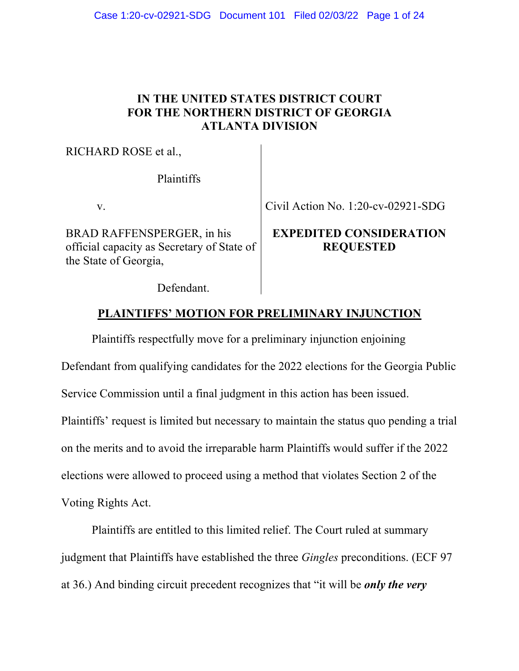Case 1:20-cv-02921-SDG Document 101 Filed 02/03/22 Page 1 of 24

# **IN THE UNITED STATES DISTRICT COURT FOR THE NORTHERN DISTRICT OF GEORGIA ATLANTA DIVISION**

RICHARD ROSE et al.,

Plaintiffs

BRAD RAFFENSPERGER, in his official capacity as Secretary of State of the State of Georgia,

v. Civil Action No. 1:20-cv-02921-SDG

**EXPEDITED CONSIDERATION REQUESTED**

Defendant.

# **PLAINTIFFS' MOTION FOR PRELIMINARY INJUNCTION**

Plaintiffs respectfully move for a preliminary injunction enjoining Defendant from qualifying candidates for the 2022 elections for the Georgia Public Service Commission until a final judgment in this action has been issued. Plaintiffs' request is limited but necessary to maintain the status quo pending a trial on the merits and to avoid the irreparable harm Plaintiffs would suffer if the 2022 elections were allowed to proceed using a method that violates Section 2 of the Voting Rights Act.

Plaintiffs are entitled to this limited relief. The Court ruled at summary judgment that Plaintiffs have established the three *Gingles* preconditions. (ECF 97 at 36.) And binding circuit precedent recognizes that "it will be *only the very*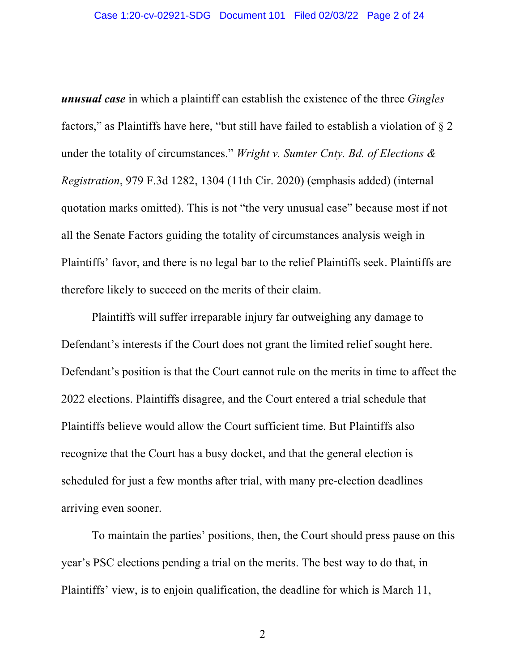*unusual case* in which a plaintiff can establish the existence of the three *Gingles* factors," as Plaintiffs have here, "but still have failed to establish a violation of § 2 under the totality of circumstances." *Wright v. Sumter Cnty. Bd. of Elections & Registration*, 979 F.3d 1282, 1304 (11th Cir. 2020) (emphasis added) (internal quotation marks omitted). This is not "the very unusual case" because most if not all the Senate Factors guiding the totality of circumstances analysis weigh in Plaintiffs' favor, and there is no legal bar to the relief Plaintiffs seek. Plaintiffs are therefore likely to succeed on the merits of their claim.

Plaintiffs will suffer irreparable injury far outweighing any damage to Defendant's interests if the Court does not grant the limited relief sought here. Defendant's position is that the Court cannot rule on the merits in time to affect the 2022 elections. Plaintiffs disagree, and the Court entered a trial schedule that Plaintiffs believe would allow the Court sufficient time. But Plaintiffs also recognize that the Court has a busy docket, and that the general election is scheduled for just a few months after trial, with many pre-election deadlines arriving even sooner.

To maintain the parties' positions, then, the Court should press pause on this year's PSC elections pending a trial on the merits. The best way to do that, in Plaintiffs' view, is to enjoin qualification, the deadline for which is March 11,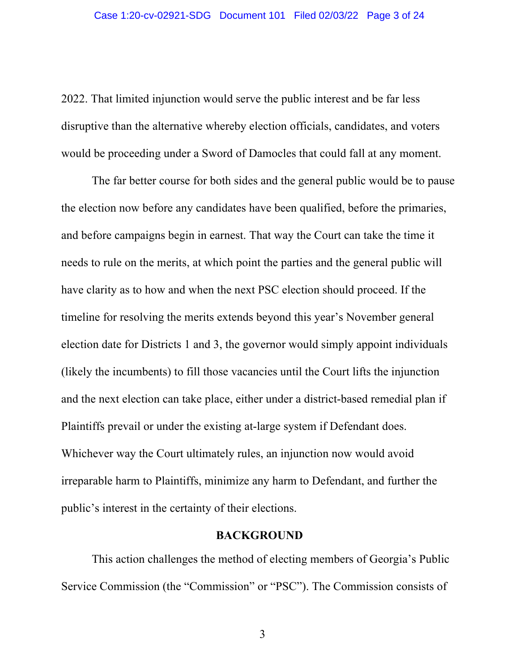2022. That limited injunction would serve the public interest and be far less disruptive than the alternative whereby election officials, candidates, and voters would be proceeding under a Sword of Damocles that could fall at any moment.

The far better course for both sides and the general public would be to pause the election now before any candidates have been qualified, before the primaries, and before campaigns begin in earnest. That way the Court can take the time it needs to rule on the merits, at which point the parties and the general public will have clarity as to how and when the next PSC election should proceed. If the timeline for resolving the merits extends beyond this year's November general election date for Districts 1 and 3, the governor would simply appoint individuals (likely the incumbents) to fill those vacancies until the Court lifts the injunction and the next election can take place, either under a district-based remedial plan if Plaintiffs prevail or under the existing at-large system if Defendant does. Whichever way the Court ultimately rules, an injunction now would avoid irreparable harm to Plaintiffs, minimize any harm to Defendant, and further the public's interest in the certainty of their elections.

#### **BACKGROUND**

This action challenges the method of electing members of Georgia's Public Service Commission (the "Commission" or "PSC"). The Commission consists of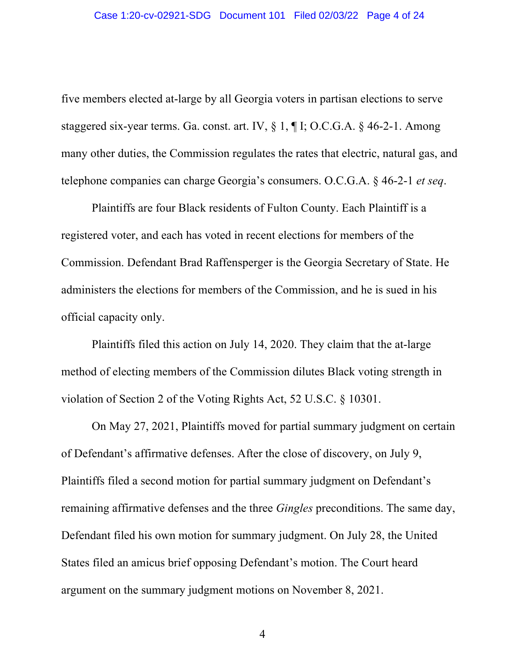five members elected at-large by all Georgia voters in partisan elections to serve staggered six-year terms. Ga. const. art. IV, § 1, ¶ I; O.C.G.A. § 46-2-1. Among many other duties, the Commission regulates the rates that electric, natural gas, and telephone companies can charge Georgia's consumers. O.C.G.A. § 46-2-1 *et seq*.

Plaintiffs are four Black residents of Fulton County. Each Plaintiff is a registered voter, and each has voted in recent elections for members of the Commission. Defendant Brad Raffensperger is the Georgia Secretary of State. He administers the elections for members of the Commission, and he is sued in his official capacity only.

Plaintiffs filed this action on July 14, 2020. They claim that the at-large method of electing members of the Commission dilutes Black voting strength in violation of Section 2 of the Voting Rights Act, 52 U.S.C. § 10301.

On May 27, 2021, Plaintiffs moved for partial summary judgment on certain of Defendant's affirmative defenses. After the close of discovery, on July 9, Plaintiffs filed a second motion for partial summary judgment on Defendant's remaining affirmative defenses and the three *Gingles* preconditions. The same day, Defendant filed his own motion for summary judgment. On July 28, the United States filed an amicus brief opposing Defendant's motion. The Court heard argument on the summary judgment motions on November 8, 2021.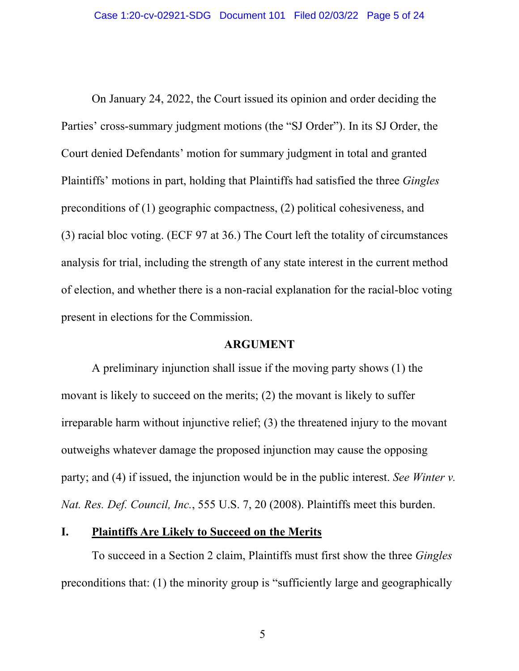On January 24, 2022, the Court issued its opinion and order deciding the Parties' cross-summary judgment motions (the "SJ Order"). In its SJ Order, the Court denied Defendants' motion for summary judgment in total and granted Plaintiffs' motions in part, holding that Plaintiffs had satisfied the three *Gingles*  preconditions of (1) geographic compactness, (2) political cohesiveness, and (3) racial bloc voting. (ECF 97 at 36.) The Court left the totality of circumstances analysis for trial, including the strength of any state interest in the current method of election, and whether there is a non-racial explanation for the racial-bloc voting present in elections for the Commission.

#### **ARGUMENT**

A preliminary injunction shall issue if the moving party shows (1) the movant is likely to succeed on the merits; (2) the movant is likely to suffer irreparable harm without injunctive relief; (3) the threatened injury to the movant outweighs whatever damage the proposed injunction may cause the opposing party; and (4) if issued, the injunction would be in the public interest. *See Winter v. Nat. Res. Def. Council, Inc.*, 555 U.S. 7, 20 (2008). Plaintiffs meet this burden.

### **I. Plaintiffs Are Likely to Succeed on the Merits**

To succeed in a Section 2 claim, Plaintiffs must first show the three *Gingles*  preconditions that: (1) the minority group is "sufficiently large and geographically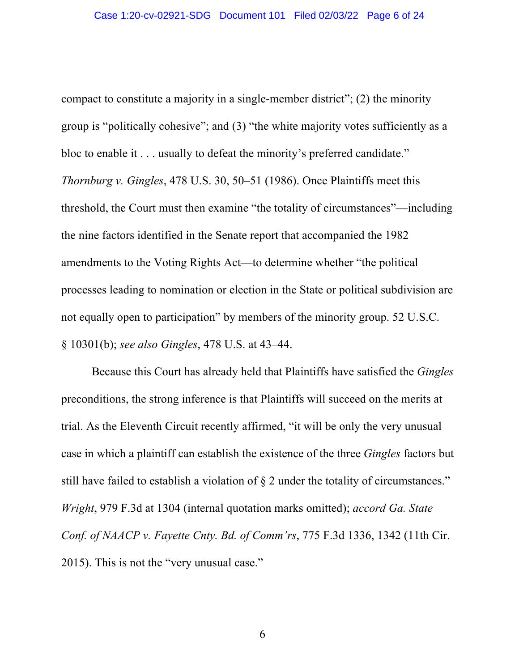compact to constitute a majority in a single-member district"; (2) the minority group is "politically cohesive"; and (3) "the white majority votes sufficiently as a bloc to enable it . . . usually to defeat the minority's preferred candidate." *Thornburg v. Gingles*, 478 U.S. 30, 50–51 (1986). Once Plaintiffs meet this threshold, the Court must then examine "the totality of circumstances"—including the nine factors identified in the Senate report that accompanied the 1982 amendments to the Voting Rights Act—to determine whether "the political processes leading to nomination or election in the State or political subdivision are not equally open to participation" by members of the minority group. 52 U.S.C. § 10301(b); *see also Gingles*, 478 U.S. at 43–44.

Because this Court has already held that Plaintiffs have satisfied the *Gingles* preconditions, the strong inference is that Plaintiffs will succeed on the merits at trial. As the Eleventh Circuit recently affirmed, "it will be only the very unusual case in which a plaintiff can establish the existence of the three *Gingles* factors but still have failed to establish a violation of § 2 under the totality of circumstances." *Wright*, 979 F.3d at 1304 (internal quotation marks omitted); *accord Ga. State Conf. of NAACP v. Fayette Cnty. Bd. of Comm'rs*, 775 F.3d 1336, 1342 (11th Cir. 2015). This is not the "very unusual case."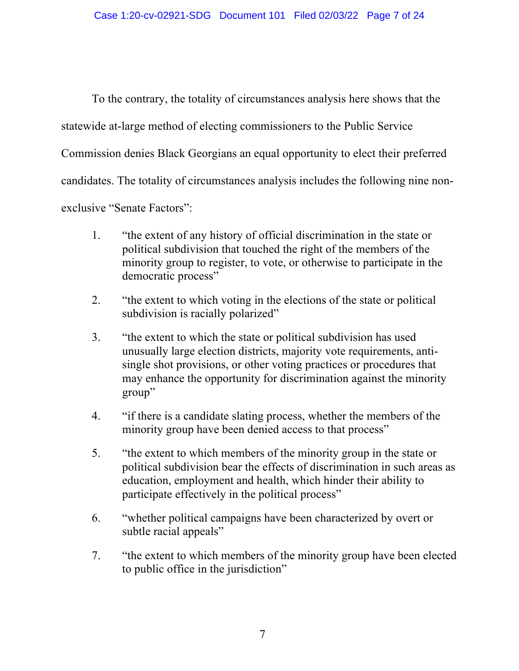To the contrary, the totality of circumstances analysis here shows that the statewide at-large method of electing commissioners to the Public Service Commission denies Black Georgians an equal opportunity to elect their preferred candidates. The totality of circumstances analysis includes the following nine nonexclusive "Senate Factors":

- 1. "the extent of any history of official discrimination in the state or political subdivision that touched the right of the members of the minority group to register, to vote, or otherwise to participate in the democratic process"
- 2. "the extent to which voting in the elections of the state or political subdivision is racially polarized"
- 3. "the extent to which the state or political subdivision has used unusually large election districts, majority vote requirements, antisingle shot provisions, or other voting practices or procedures that may enhance the opportunity for discrimination against the minority group"
- 4. "if there is a candidate slating process, whether the members of the minority group have been denied access to that process"
- 5. "the extent to which members of the minority group in the state or political subdivision bear the effects of discrimination in such areas as education, employment and health, which hinder their ability to participate effectively in the political process"
- 6. "whether political campaigns have been characterized by overt or subtle racial appeals"
- 7. "the extent to which members of the minority group have been elected to public office in the jurisdiction"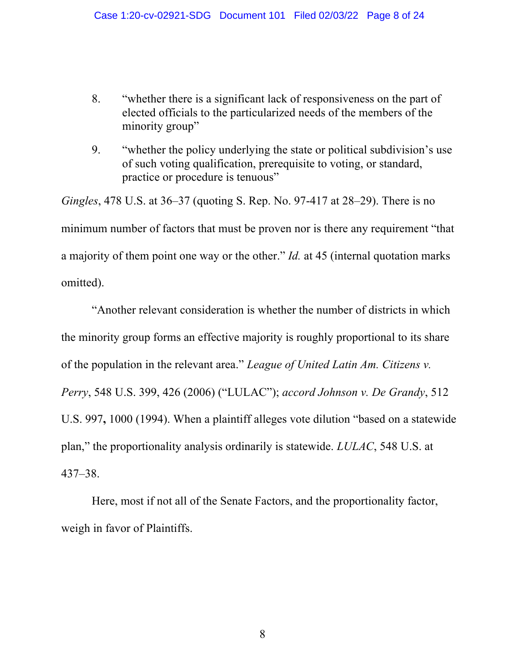- 8. "whether there is a significant lack of responsiveness on the part of elected officials to the particularized needs of the members of the minority group"
- 9. "whether the policy underlying the state or political subdivision's use of such voting qualification, prerequisite to voting, or standard, practice or procedure is tenuous"

*Gingles*, 478 U.S. at 36–37 (quoting S. Rep. No. 97-417 at 28–29). There is no minimum number of factors that must be proven nor is there any requirement "that a majority of them point one way or the other." *Id.* at 45 (internal quotation marks omitted).

"Another relevant consideration is whether the number of districts in which the minority group forms an effective majority is roughly proportional to its share of the population in the relevant area." *League of United Latin Am. Citizens v. Perry*, 548 U.S. 399, 426 (2006) ("LULAC"); *accord Johnson v. De Grandy*, 512 U.S. 997**,** 1000 (1994). When a plaintiff alleges vote dilution "based on a statewide plan," the proportionality analysis ordinarily is statewide. *LULAC*, 548 U.S. at 437–38.

Here, most if not all of the Senate Factors, and the proportionality factor, weigh in favor of Plaintiffs.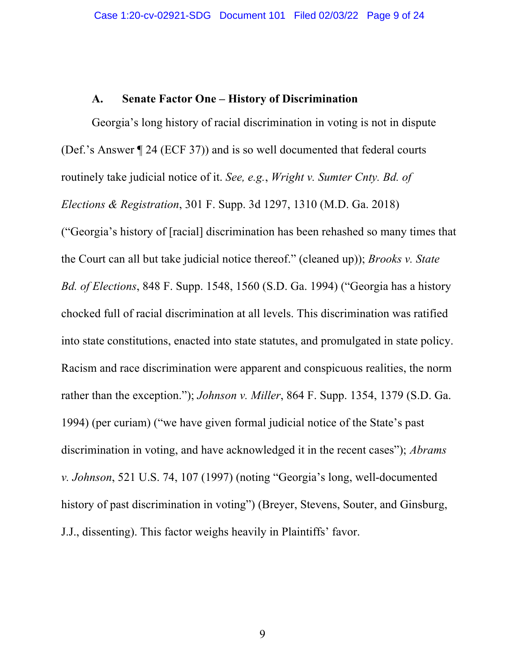#### **A. Senate Factor One – History of Discrimination**

Georgia's long history of racial discrimination in voting is not in dispute (Def.'s Answer ¶ 24 (ECF 37)) and is so well documented that federal courts routinely take judicial notice of it. *See, e.g.*, *Wright v. Sumter Cnty. Bd. of Elections & Registration*, 301 F. Supp. 3d 1297, 1310 (M.D. Ga. 2018) ("Georgia's history of [racial] discrimination has been rehashed so many times that the Court can all but take judicial notice thereof." (cleaned up)); *Brooks v. State Bd. of Elections*, 848 F. Supp. 1548, 1560 (S.D. Ga. 1994) ("Georgia has a history chocked full of racial discrimination at all levels. This discrimination was ratified into state constitutions, enacted into state statutes, and promulgated in state policy. Racism and race discrimination were apparent and conspicuous realities, the norm rather than the exception."); *Johnson v. Miller*, 864 F. Supp. 1354, 1379 (S.D. Ga. 1994) (per curiam) ("we have given formal judicial notice of the State's past discrimination in voting, and have acknowledged it in the recent cases"); *Abrams v. Johnson*, 521 U.S. 74, 107 (1997) (noting "Georgia's long, well-documented history of past discrimination in voting") (Breyer, Stevens, Souter, and Ginsburg, J.J., dissenting). This factor weighs heavily in Plaintiffs' favor.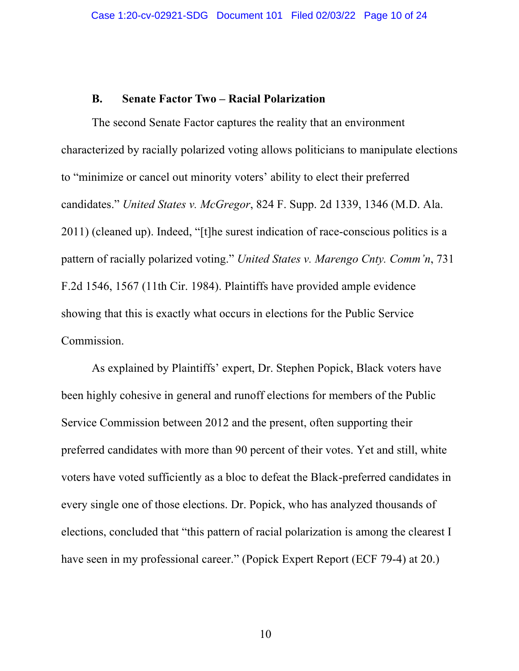### **B. Senate Factor Two – Racial Polarization**

The second Senate Factor captures the reality that an environment characterized by racially polarized voting allows politicians to manipulate elections to "minimize or cancel out minority voters' ability to elect their preferred candidates." *United States v. McGregor*, 824 F. Supp. 2d 1339, 1346 (M.D. Ala. 2011) (cleaned up). Indeed, "[t]he surest indication of race-conscious politics is a pattern of racially polarized voting." *United States v. Marengo Cnty. Comm'n*, 731 F.2d 1546, 1567 (11th Cir. 1984). Plaintiffs have provided ample evidence showing that this is exactly what occurs in elections for the Public Service Commission.

As explained by Plaintiffs' expert, Dr. Stephen Popick, Black voters have been highly cohesive in general and runoff elections for members of the Public Service Commission between 2012 and the present, often supporting their preferred candidates with more than 90 percent of their votes. Yet and still, white voters have voted sufficiently as a bloc to defeat the Black-preferred candidates in every single one of those elections. Dr. Popick, who has analyzed thousands of elections, concluded that "this pattern of racial polarization is among the clearest I have seen in my professional career." (Popick Expert Report (ECF 79-4) at 20.)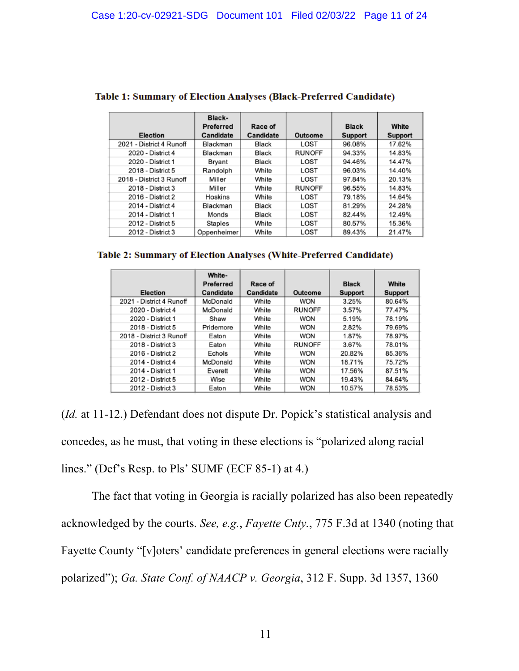|                          | Black-<br>Preferred | Race of   |               | <b>Black</b>   | White   |
|--------------------------|---------------------|-----------|---------------|----------------|---------|
| Election                 | Candidate           | Candidate | Outcome       | <b>Support</b> | Support |
| 2021 - District 4 Runoff | Blackman            | Black     | LOST          | 96.08%         | 17.62%  |
| 2020 - District 4        | Blackman            | Black     | <b>RUNOFF</b> | 94.33%         | 14.83%  |
| 2020 - District 1        | Bryant              | Black     | LOST          | 94.46%         | 14.47%  |
| 2018 - District 5        | Randolph            | White     | LOST          | 96.03%         | 14.40%  |
| 2018 - District 3 Runoff | Miller              | White     | LOST          | 97.84%         | 20.13%  |
| 2018 - District 3        | Miller              | White     | <b>RUNOFF</b> | 96.55%         | 14.83%  |
| 2016 - District 2        | Hoskins             | White     | LOST          | 79.18%         | 14.64%  |
| 2014 - District 4        | Blackman            | Black     | LOST          | 81.29%         | 24.28%  |
| 2014 - District 1        | Monds               | Black     | LOST          | 82.44%         | 12.49%  |
| 2012 - District 5        | Staples             | White     | LOST          | 80.57%         | 15.36%  |
| 2012 - District 3        | Oppenheimer         | White     | LOST          | 89.43%         | 21.47%  |

#### Table 1: Summary of Election Analyses (Black-Preferred Candidate)

Table 2: Summary of Election Analyses (White-Preferred Candidate)

|                          | White-<br>Preferred | Race of   |               | <b>Black</b>   | White          |
|--------------------------|---------------------|-----------|---------------|----------------|----------------|
| Election                 | Candidate           | Candidate | Outcome       | <b>Support</b> | <b>Support</b> |
| 2021 - District 4 Runoff | McDonald            | White     | <b>WON</b>    | 3.25%          | 80.64%         |
| 2020 - District 4        | McDonald            | White     | <b>RUNOFF</b> | 3.57%          | 77.47%         |
| 2020 - District 1        | Shaw                | White     | <b>WON</b>    | 5.19%          | 78.19%         |
| 2018 - District 5        | Pridemore           | White     | <b>WON</b>    | 2.82%          | 79.69%         |
| 2018 - District 3 Runoff | Eaton               | White     | <b>WON</b>    | 1.87%          | 78.97%         |
| 2018 - District 3        | Eaton               | White     | <b>RUNOFF</b> | 3.67%          | 78.01%         |
| 2016 - District 2        | Echols              | White     | <b>WON</b>    | 20.82%         | 85.36%         |
| 2014 - District 4        | McDonald            | White     | <b>WON</b>    | 18.71%         | 75.72%         |
| 2014 - District 1        | Everett             | White     | WON           | 17.56%         | 87.51%         |
| 2012 - District 5        | Wise                | White     | <b>WON</b>    | 19.43%         | 84.64%         |
| 2012 - District 3        | Eaton               | White     | <b>WON</b>    | 10.57%         | 78.53%         |

(*Id.* at 11-12.) Defendant does not dispute Dr. Popick's statistical analysis and concedes, as he must, that voting in these elections is "polarized along racial lines." (Def's Resp. to Pls' SUMF (ECF 85-1) at 4.)

The fact that voting in Georgia is racially polarized has also been repeatedly acknowledged by the courts. *See, e.g.*, *Fayette Cnty.*, 775 F.3d at 1340 (noting that Fayette County "[v]oters' candidate preferences in general elections were racially polarized"); *Ga. State Conf. of NAACP v. Georgia*, 312 F. Supp. 3d 1357, 1360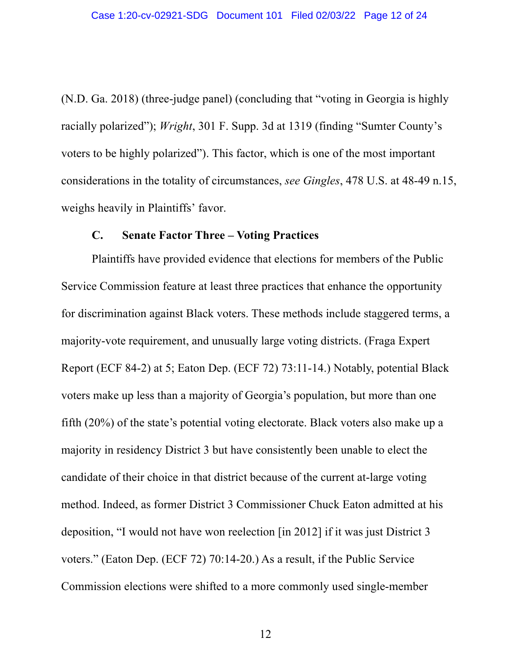(N.D. Ga. 2018) (three-judge panel) (concluding that "voting in Georgia is highly racially polarized"); *Wright*, 301 F. Supp. 3d at 1319 (finding "Sumter County's voters to be highly polarized"). This factor, which is one of the most important considerations in the totality of circumstances, *see Gingles*, 478 U.S. at 48-49 n.15, weighs heavily in Plaintiffs' favor.

### **C. Senate Factor Three – Voting Practices**

Plaintiffs have provided evidence that elections for members of the Public Service Commission feature at least three practices that enhance the opportunity for discrimination against Black voters. These methods include staggered terms, a majority-vote requirement, and unusually large voting districts. (Fraga Expert Report (ECF 84-2) at 5; Eaton Dep. (ECF 72) 73:11-14.) Notably, potential Black voters make up less than a majority of Georgia's population, but more than one fifth (20%) of the state's potential voting electorate. Black voters also make up a majority in residency District 3 but have consistently been unable to elect the candidate of their choice in that district because of the current at-large voting method. Indeed, as former District 3 Commissioner Chuck Eaton admitted at his deposition, "I would not have won reelection [in 2012] if it was just District 3 voters." (Eaton Dep. (ECF 72) 70:14-20.) As a result, if the Public Service Commission elections were shifted to a more commonly used single-member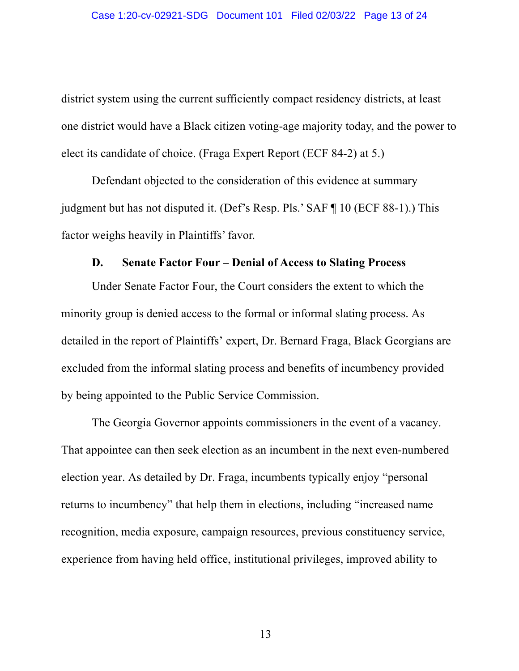district system using the current sufficiently compact residency districts, at least one district would have a Black citizen voting-age majority today, and the power to elect its candidate of choice. (Fraga Expert Report (ECF 84-2) at 5.)

Defendant objected to the consideration of this evidence at summary judgment but has not disputed it. (Def's Resp. Pls.' SAF ¶ 10 (ECF 88-1).) This factor weighs heavily in Plaintiffs' favor.

#### **D. Senate Factor Four – Denial of Access to Slating Process**

Under Senate Factor Four, the Court considers the extent to which the minority group is denied access to the formal or informal slating process. As detailed in the report of Plaintiffs' expert, Dr. Bernard Fraga, Black Georgians are excluded from the informal slating process and benefits of incumbency provided by being appointed to the Public Service Commission.

The Georgia Governor appoints commissioners in the event of a vacancy. That appointee can then seek election as an incumbent in the next even-numbered election year. As detailed by Dr. Fraga, incumbents typically enjoy "personal returns to incumbency" that help them in elections, including "increased name recognition, media exposure, campaign resources, previous constituency service, experience from having held office, institutional privileges, improved ability to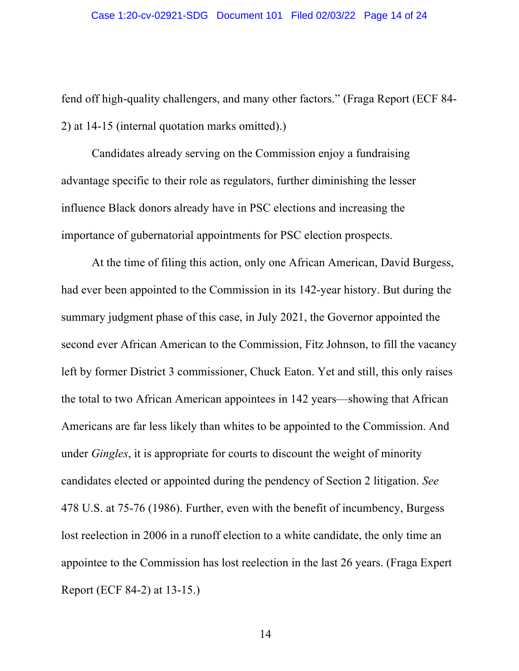fend off high-quality challengers, and many other factors." (Fraga Report (ECF 84- 2) at 14-15 (internal quotation marks omitted).)

Candidates already serving on the Commission enjoy a fundraising advantage specific to their role as regulators, further diminishing the lesser influence Black donors already have in PSC elections and increasing the importance of gubernatorial appointments for PSC election prospects.

At the time of filing this action, only one African American, David Burgess, had ever been appointed to the Commission in its 142-year history. But during the summary judgment phase of this case, in July 2021, the Governor appointed the second ever African American to the Commission, Fitz Johnson, to fill the vacancy left by former District 3 commissioner, Chuck Eaton. Yet and still, this only raises the total to two African American appointees in 142 years—showing that African Americans are far less likely than whites to be appointed to the Commission. And under *Gingles*, it is appropriate for courts to discount the weight of minority candidates elected or appointed during the pendency of Section 2 litigation. *See*  478 U.S. at 75-76 (1986). Further, even with the benefit of incumbency, Burgess lost reelection in 2006 in a runoff election to a white candidate, the only time an appointee to the Commission has lost reelection in the last 26 years. (Fraga Expert Report (ECF 84-2) at 13-15.)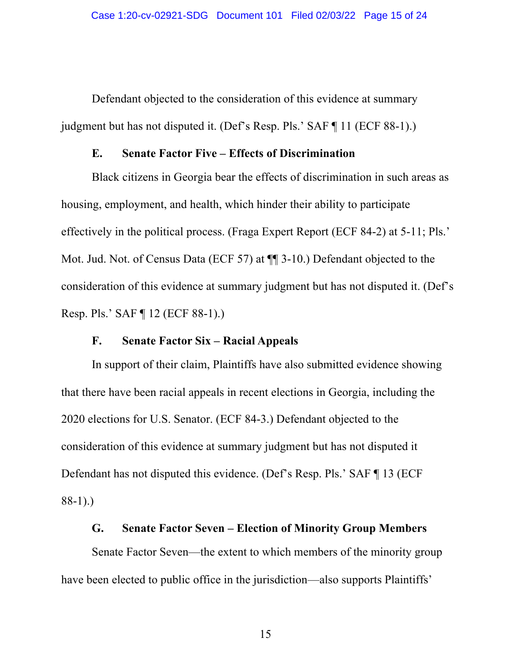Defendant objected to the consideration of this evidence at summary judgment but has not disputed it. (Def's Resp. Pls.' SAF ¶ 11 (ECF 88-1).)

### **E. Senate Factor Five – Effects of Discrimination**

Black citizens in Georgia bear the effects of discrimination in such areas as housing, employment, and health, which hinder their ability to participate effectively in the political process. (Fraga Expert Report (ECF 84-2) at 5-11; Pls.' Mot. Jud. Not. of Census Data (ECF 57) at ¶¶ 3-10.) Defendant objected to the consideration of this evidence at summary judgment but has not disputed it. (Def's Resp. Pls.' SAF ¶ 12 (ECF 88-1).)

### **F. Senate Factor Six – Racial Appeals**

In support of their claim, Plaintiffs have also submitted evidence showing that there have been racial appeals in recent elections in Georgia, including the 2020 elections for U.S. Senator. (ECF 84-3.) Defendant objected to the consideration of this evidence at summary judgment but has not disputed it Defendant has not disputed this evidence. (Def's Resp. Pls.' SAF ¶ 13 (ECF 88-1).)

# **G. Senate Factor Seven – Election of Minority Group Members**

Senate Factor Seven—the extent to which members of the minority group have been elected to public office in the jurisdiction—also supports Plaintiffs'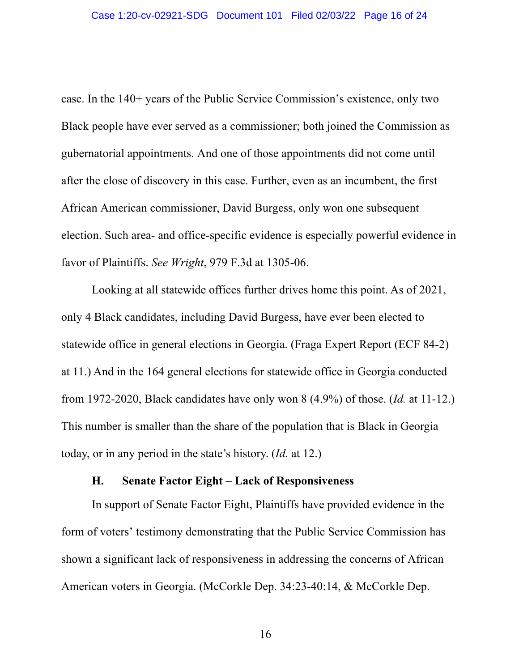case. In the 140+ years of the Public Service Commission's existence, only two Black people have ever served as a commissioner; both joined the Commission as gubernatorial appointments. And one of those appointments did not come until after the close of discovery in this case. Further, even as an incumbent, the first African American commissioner, David Burgess, only won one subsequent election. Such area- and office-specific evidence is especially powerful evidence in favor of Plaintiffs. *See Wright*, 979 F.3d at 1305-06.

Looking at all statewide offices further drives home this point. As of 2021, only 4 Black candidates, including David Burgess, have ever been elected to statewide office in general elections in Georgia. (Fraga Expert Report (ECF 84-2) at 11.) And in the 164 general elections for statewide office in Georgia conducted from 1972-2020, Black candidates have only won 8 (4.9%) of those. (*Id.* at 11-12.) This number is smaller than the share of the population that is Black in Georgia today, or in any period in the state's history. (*Id.* at 12.)

## **H. Senate Factor Eight – Lack of Responsiveness**

In support of Senate Factor Eight, Plaintiffs have provided evidence in the form of voters' testimony demonstrating that the Public Service Commission has shown a significant lack of responsiveness in addressing the concerns of African American voters in Georgia. (McCorkle Dep. 34:23-40:14, & McCorkle Dep.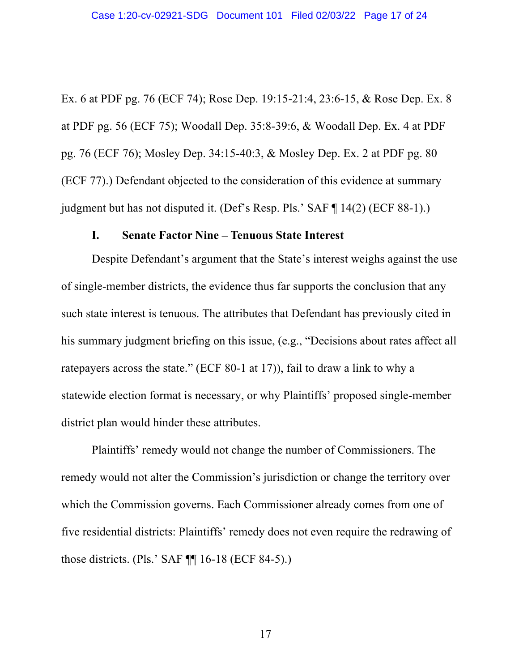Ex. 6 at PDF pg. 76 (ECF 74); Rose Dep. 19:15-21:4, 23:6-15, & Rose Dep. Ex. 8 at PDF pg. 56 (ECF 75); Woodall Dep. 35:8-39:6, & Woodall Dep. Ex. 4 at PDF pg. 76 (ECF 76); Mosley Dep. 34:15-40:3, & Mosley Dep. Ex. 2 at PDF pg. 80 (ECF 77).) Defendant objected to the consideration of this evidence at summary judgment but has not disputed it. (Def's Resp. Pls.' SAF ¶ 14(2) (ECF 88-1).)

#### **I. Senate Factor Nine – Tenuous State Interest**

Despite Defendant's argument that the State's interest weighs against the use of single-member districts, the evidence thus far supports the conclusion that any such state interest is tenuous. The attributes that Defendant has previously cited in his summary judgment briefing on this issue, (e.g., "Decisions about rates affect all ratepayers across the state." (ECF 80-1 at 17)), fail to draw a link to why a statewide election format is necessary, or why Plaintiffs' proposed single-member district plan would hinder these attributes.

Plaintiffs' remedy would not change the number of Commissioners. The remedy would not alter the Commission's jurisdiction or change the territory over which the Commission governs. Each Commissioner already comes from one of five residential districts: Plaintiffs' remedy does not even require the redrawing of those districts. (Pls.' SAF ¶¶ 16-18 (ECF 84-5).)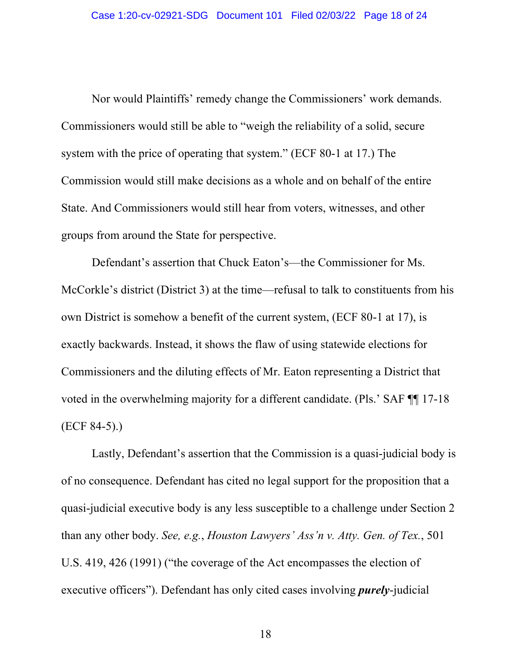Nor would Plaintiffs' remedy change the Commissioners' work demands. Commissioners would still be able to "weigh the reliability of a solid, secure system with the price of operating that system." (ECF 80-1 at 17.) The Commission would still make decisions as a whole and on behalf of the entire State. And Commissioners would still hear from voters, witnesses, and other groups from around the State for perspective.

Defendant's assertion that Chuck Eaton's—the Commissioner for Ms. McCorkle's district (District 3) at the time—refusal to talk to constituents from his own District is somehow a benefit of the current system, (ECF 80-1 at 17), is exactly backwards. Instead, it shows the flaw of using statewide elections for Commissioners and the diluting effects of Mr. Eaton representing a District that voted in the overwhelming majority for a different candidate. (Pls.' SAF ¶¶ 17-18 (ECF 84-5).)

Lastly, Defendant's assertion that the Commission is a quasi-judicial body is of no consequence. Defendant has cited no legal support for the proposition that a quasi-judicial executive body is any less susceptible to a challenge under Section 2 than any other body. *See, e.g.*, *Houston Lawyers' Ass'n v. Atty. Gen. of Tex.*, 501 U.S. 419, 426 (1991) ("the coverage of the Act encompasses the election of executive officers"). Defendant has only cited cases involving *purely*-judicial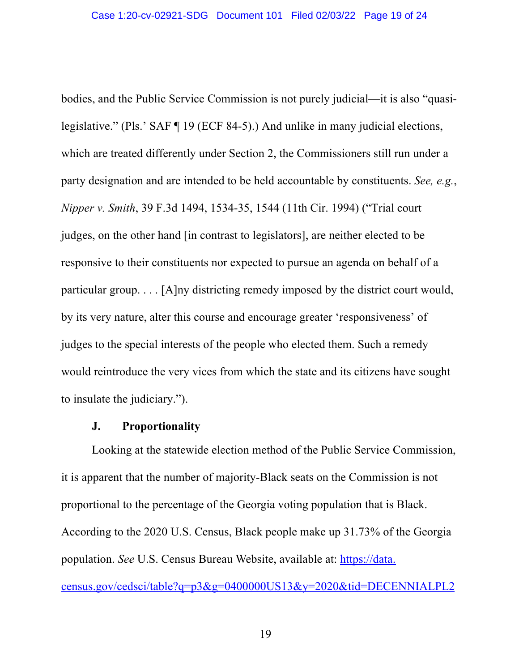bodies, and the Public Service Commission is not purely judicial—it is also "quasilegislative." (Pls.' SAF ¶ 19 (ECF 84-5).) And unlike in many judicial elections, which are treated differently under Section 2, the Commissioners still run under a party designation and are intended to be held accountable by constituents. *See, e.g.*, *Nipper v. Smith*, 39 F.3d 1494, 1534-35, 1544 (11th Cir. 1994) ("Trial court judges, on the other hand [in contrast to legislators], are neither elected to be responsive to their constituents nor expected to pursue an agenda on behalf of a particular group. . . . [A]ny districting remedy imposed by the district court would, by its very nature, alter this course and encourage greater 'responsiveness' of judges to the special interests of the people who elected them. Such a remedy would reintroduce the very vices from which the state and its citizens have sought to insulate the judiciary.").

## **J. Proportionality**

Looking at the statewide election method of the Public Service Commission, it is apparent that the number of majority-Black seats on the Commission is not proportional to the percentage of the Georgia voting population that is Black. According to the 2020 U.S. Census, Black people make up 31.73% of the Georgia population. *See* U.S. Census Bureau Website, available at: https://data. census.gov/cedsci/table?q=p3&g=0400000US13&y=2020&tid=DECENNIALPL2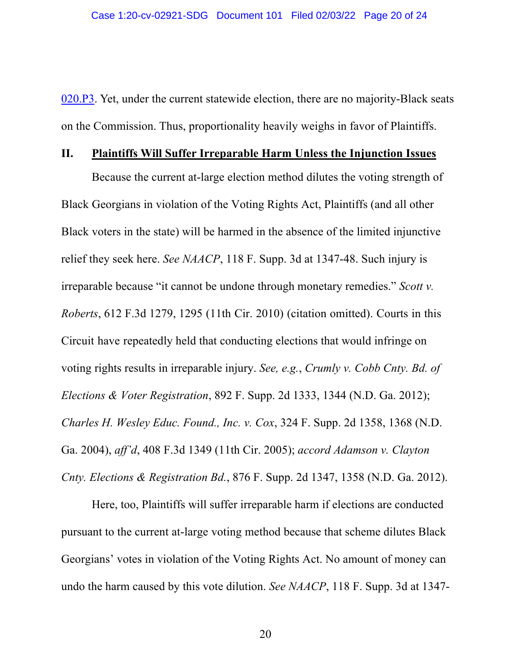020.P3. Yet, under the current statewide election, there are no majority-Black seats on the Commission. Thus, proportionality heavily weighs in favor of Plaintiffs.

#### **II. Plaintiffs Will Suffer Irreparable Harm Unless the Injunction Issues**

Because the current at-large election method dilutes the voting strength of Black Georgians in violation of the Voting Rights Act, Plaintiffs (and all other Black voters in the state) will be harmed in the absence of the limited injunctive relief they seek here. *See NAACP*, 118 F. Supp. 3d at 1347-48. Such injury is irreparable because "it cannot be undone through monetary remedies." *Scott v. Roberts*, 612 F.3d 1279, 1295 (11th Cir. 2010) (citation omitted). Courts in this Circuit have repeatedly held that conducting elections that would infringe on voting rights results in irreparable injury. *See, e.g.*, *Crumly v. Cobb Cnty. Bd. of Elections & Voter Registration*, 892 F. Supp. 2d 1333, 1344 (N.D. Ga. 2012); *Charles H. Wesley Educ. Found., Inc. v. Cox*, 324 F. Supp. 2d 1358, 1368 (N.D. Ga. 2004), *aff'd*, 408 F.3d 1349 (11th Cir. 2005); *accord Adamson v. Clayton Cnty. Elections & Registration Bd.*, 876 F. Supp. 2d 1347, 1358 (N.D. Ga. 2012).

Here, too, Plaintiffs will suffer irreparable harm if elections are conducted pursuant to the current at-large voting method because that scheme dilutes Black Georgians' votes in violation of the Voting Rights Act. No amount of money can undo the harm caused by this vote dilution. *See NAACP*, 118 F. Supp. 3d at 1347-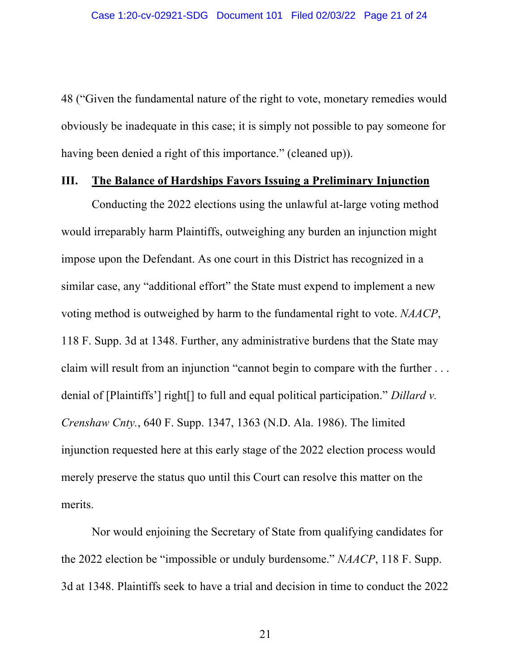48 ("Given the fundamental nature of the right to vote, monetary remedies would obviously be inadequate in this case; it is simply not possible to pay someone for having been denied a right of this importance." (cleaned up)).

#### **III. The Balance of Hardships Favors Issuing a Preliminary Injunction**

Conducting the 2022 elections using the unlawful at-large voting method would irreparably harm Plaintiffs, outweighing any burden an injunction might impose upon the Defendant. As one court in this District has recognized in a similar case, any "additional effort" the State must expend to implement a new voting method is outweighed by harm to the fundamental right to vote. *NAACP*, 118 F. Supp. 3d at 1348. Further, any administrative burdens that the State may claim will result from an injunction "cannot begin to compare with the further . . . denial of [Plaintiffs'] right[] to full and equal political participation." *Dillard v. Crenshaw Cnty.*, 640 F. Supp. 1347, 1363 (N.D. Ala. 1986). The limited injunction requested here at this early stage of the 2022 election process would merely preserve the status quo until this Court can resolve this matter on the merits.

Nor would enjoining the Secretary of State from qualifying candidates for the 2022 election be "impossible or unduly burdensome." *NAACP*, 118 F. Supp. 3d at 1348. Plaintiffs seek to have a trial and decision in time to conduct the 2022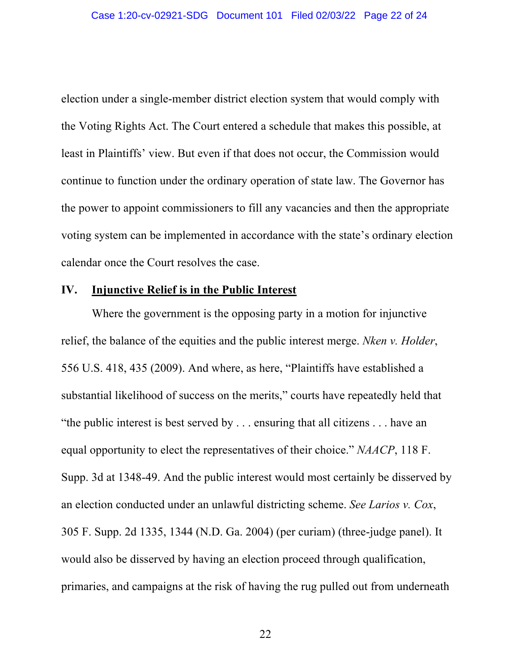election under a single-member district election system that would comply with the Voting Rights Act. The Court entered a schedule that makes this possible, at least in Plaintiffs' view. But even if that does not occur, the Commission would continue to function under the ordinary operation of state law. The Governor has the power to appoint commissioners to fill any vacancies and then the appropriate voting system can be implemented in accordance with the state's ordinary election calendar once the Court resolves the case.

# **IV. Injunctive Relief is in the Public Interest**

Where the government is the opposing party in a motion for injunctive relief, the balance of the equities and the public interest merge. *Nken v. Holder*, 556 U.S. 418, 435 (2009). And where, as here, "Plaintiffs have established a substantial likelihood of success on the merits," courts have repeatedly held that "the public interest is best served by . . . ensuring that all citizens . . . have an equal opportunity to elect the representatives of their choice." *NAACP*, 118 F. Supp. 3d at 1348-49. And the public interest would most certainly be disserved by an election conducted under an unlawful districting scheme. *See Larios v. Cox*, 305 F. Supp. 2d 1335, 1344 (N.D. Ga. 2004) (per curiam) (three-judge panel). It would also be disserved by having an election proceed through qualification, primaries, and campaigns at the risk of having the rug pulled out from underneath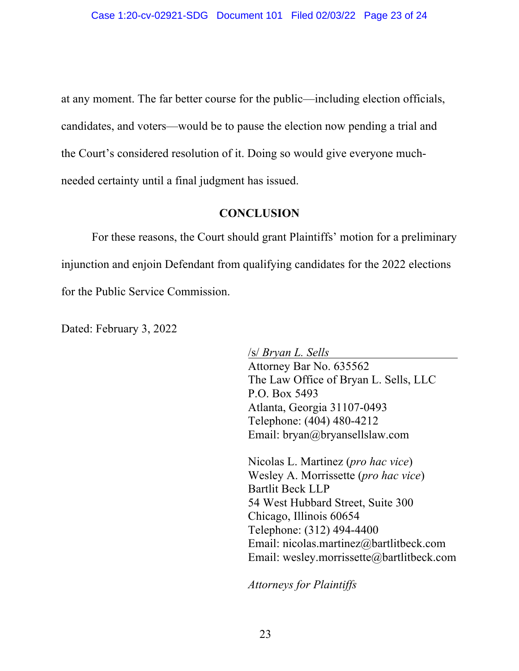at any moment. The far better course for the public—including election officials, candidates, and voters—would be to pause the election now pending a trial and the Court's considered resolution of it. Doing so would give everyone muchneeded certainty until a final judgment has issued.

# **CONCLUSION**

For these reasons, the Court should grant Plaintiffs' motion for a preliminary injunction and enjoin Defendant from qualifying candidates for the 2022 elections for the Public Service Commission.

Dated: February 3, 2022

/s/ *Bryan L. Sells* Attorney Bar No. 635562 The Law Office of Bryan L. Sells, LLC P.O. Box 5493 Atlanta, Georgia 31107-0493 Telephone: (404) 480-4212 Email: bryan@bryansellslaw.com

Nicolas L. Martinez (*pro hac vice*) Wesley A. Morrissette (*pro hac vice*) Bartlit Beck LLP 54 West Hubbard Street, Suite 300 Chicago, Illinois 60654 Telephone: (312) 494-4400 Email: nicolas.martinez@bartlitbeck.com Email: wesley.morrissette@bartlitbeck.com

*Attorneys for Plaintiffs*